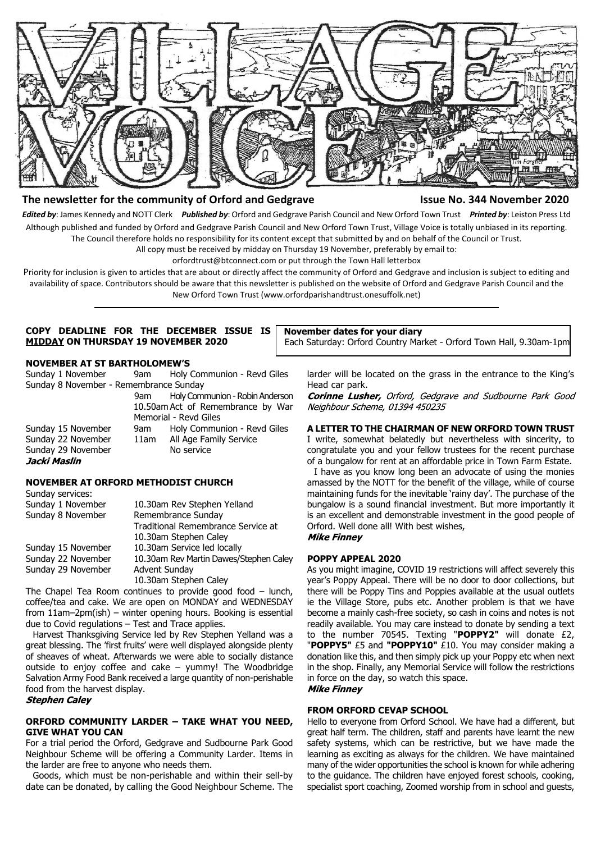

# **The newsletter for the community of Orford and Gedgrave Issue No. 344 November 2020**

*Edited by*: James Kennedy and NOTT Clerk *Published by*: Orford and Gedgrave Parish Council and New Orford Town Trust *Printed by*: Leiston Press Ltd Although published and funded by Orford and Gedgrave Parish Council and New Orford Town Trust, Village Voice is totally unbiased in its reporting. The Council therefore holds no responsibility for its content except that submitted by and on behalf of the Council or Trust.

All copy must be received by midday on Thursday 19 November, preferably by email to:

orfordtrust@btconnect.com or put through the Town Hall letterbox

Priority for inclusion is given to articles that are about or directly affect the community of Orford and Gedgrave and inclusion is subject to editing and availability of space. Contributors should be aware that this newsletter is published on the website of Orford and Gedgrave Parish Council and the New Orford Town Trust (www.orfordparishandtrust.onesuffolk.net)

### **COPY DEADLINE FOR THE DECEMBER ISSUE IS MIDDAY ON THURSDAY 19 NOVEMBER 2020**

#### **NOVEMBER AT ST BARTHOLOMEW'S**

|                                        |       | Sunday 1 November 9am Holy Communion - Revd Giles |  |  |  |
|----------------------------------------|-------|---------------------------------------------------|--|--|--|
| Sunday 8 November - Remembrance Sunday |       |                                                   |  |  |  |
|                                        | 9am   | Holy Communion - Robin Anderson                   |  |  |  |
| 10.50am Act of Remembrance by War      |       |                                                   |  |  |  |
| Memorial - Revd Giles                  |       |                                                   |  |  |  |
| Sunday 15 November                     | 9am - | Holy Communion - Revd Giles                       |  |  |  |
| Sunday 22 November                     | 11am  | All Age Family Service                            |  |  |  |
| Sunday 29 November                     |       | No service                                        |  |  |  |
| Jacki Maslin                           |       |                                                   |  |  |  |

### **NOVEMBER AT ORFORD METHODIST CHURCH**

Sunday services: Sunday 1 November 10.30am Rev Stephen Yelland Sunday 8 November Remembrance Sunday Traditional Remembrance Service at 10.30am Stephen Caley Sunday 15 November 10.30am Service led locally Sunday 22 November 10.30am Rev Martin Dawes/Stephen Caley Sunday 29 November Advent Sunday 10.30am Stephen Caley

The Chapel Tea Room continues to provide good food – lunch, coffee/tea and cake. We are open on MONDAY and WEDNESDAY from 11am–2pm(ish) – winter opening hours. Booking is essential due to Covid regulations – Test and Trace applies.

 Harvest Thanksgiving Service led by Rev Stephen Yelland was a great blessing. The 'first fruits' were well displayed alongside plenty of sheaves of wheat. Afterwards we were able to socially distance outside to enjoy coffee and cake – yummy! The Woodbridge Salvation Army Food Bank received a large quantity of non-perishable food from the harvest display.

# **Stephen Caley**

## **ORFORD COMMUNITY LARDER – TAKE WHAT YOU NEED, GIVE WHAT YOU CAN**

For a trial period the Orford, Gedgrave and Sudbourne Park Good Neighbour Scheme will be offering a Community Larder. Items in the larder are free to anyone who needs them.

 Goods, which must be non-perishable and within their sell-by date can be donated, by calling the Good Neighbour Scheme. The

larder will be located on the grass in the entrance to the King's Head car park.

Each Saturday: Orford Country Market - Orford Town Hall, 9.30am-1pm

**Corinne Lusher, Orford, Gedgrave and Sudbourne Park Good** Neighbour Scheme, 01394 450235

#### **A LETTER TO THE CHAIRMAN OF NEW ORFORD TOWN TRUST**

I write, somewhat belatedly but nevertheless with sincerity, to congratulate you and your fellow trustees for the recent purchase of a bungalow for rent at an affordable price in Town Farm Estate.

 I have as you know long been an advocate of using the monies amassed by the NOTT for the benefit of the village, while of course maintaining funds for the inevitable 'rainy day'. The purchase of the bungalow is a sound financial investment. But more importantly it is an excellent and demonstrable investment in the good people of Orford. Well done all! With best wishes, **Mike Finney** 

#### **POPPY APPEAL 2020**

 **November dates for your diary**

As you might imagine, COVID 19 restrictions will affect severely this year's Poppy Appeal. There will be no door to door collections, but there will be Poppy Tins and Poppies available at the usual outlets ie the Village Store, pubs etc. Another problem is that we have become a mainly cash-free society, so cash in coins and notes is not readily available. You may care instead to donate by sending a text to the number 70545. Texting "**POPPY2"** will donate £2, "**POPPY5"** £5 and **"POPPY10"** £10. You may consider making a donation like this, and then simply pick up your Poppy etc when next in the shop. Finally, any Memorial Service will follow the restrictions in force on the day, so watch this space. **Mike Finney** 

#### **FROM ORFORD CEVAP SCHOOL**

Hello to everyone from Orford School. We have had a different, but great half term. The children, staff and parents have learnt the new safety systems, which can be restrictive, but we have made the learning as exciting as always for the children. We have maintained many of the wider opportunities the school is known for while adhering to the guidance. The children have enjoyed forest schools, cooking, specialist sport coaching, Zoomed worship from in school and guests,